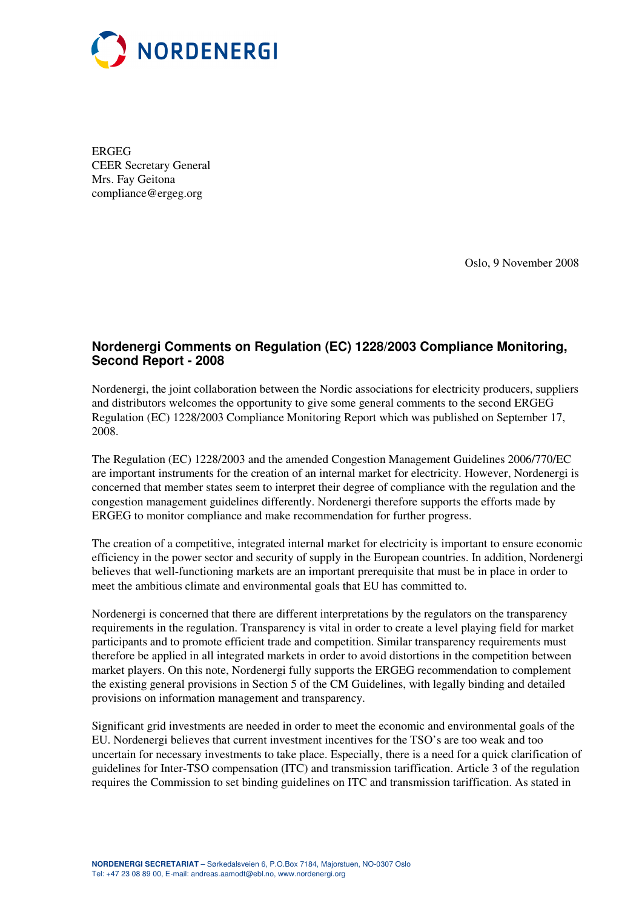

ERGEG CEER Secretary General Mrs. Fay Geitona compliance@ergeg.org

Oslo, 9 November 2008

## **Nordenergi Comments on Regulation (EC) 1228/2003 Compliance Monitoring, Second Report - 2008**

Nordenergi, the joint collaboration between the Nordic associations for electricity producers, suppliers and distributors welcomes the opportunity to give some general comments to the second ERGEG Regulation (EC) 1228/2003 Compliance Monitoring Report which was published on September 17, 2008.

The Regulation (EC) 1228/2003 and the amended Congestion Management Guidelines 2006/770/EC are important instruments for the creation of an internal market for electricity. However, Nordenergi is concerned that member states seem to interpret their degree of compliance with the regulation and the congestion management guidelines differently. Nordenergi therefore supports the efforts made by ERGEG to monitor compliance and make recommendation for further progress.

The creation of a competitive, integrated internal market for electricity is important to ensure economic efficiency in the power sector and security of supply in the European countries. In addition, Nordenergi believes that well-functioning markets are an important prerequisite that must be in place in order to meet the ambitious climate and environmental goals that EU has committed to.

Nordenergi is concerned that there are different interpretations by the regulators on the transparency requirements in the regulation. Transparency is vital in order to create a level playing field for market participants and to promote efficient trade and competition. Similar transparency requirements must therefore be applied in all integrated markets in order to avoid distortions in the competition between market players. On this note, Nordenergi fully supports the ERGEG recommendation to complement the existing general provisions in Section 5 of the CM Guidelines, with legally binding and detailed provisions on information management and transparency.

Significant grid investments are needed in order to meet the economic and environmental goals of the EU. Nordenergi believes that current investment incentives for the TSO's are too weak and too uncertain for necessary investments to take place. Especially, there is a need for a quick clarification of guidelines for Inter-TSO compensation (ITC) and transmission tariffication. Article 3 of the regulation requires the Commission to set binding guidelines on ITC and transmission tariffication. As stated in